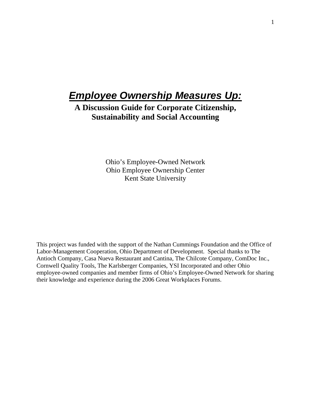# **Employee Ownership Measures Up:**

**A Discussion Guide for Corporate Citizenship, Sustainability and Social Accounting** 

> Ohio's Employee-Owned Network Ohio Employee Ownership Center Kent State University

This project was funded with the support of the Nathan Cummings Foundation and the Office of Labor-Management Cooperation, Ohio Department of Development. Special thanks to The Antioch Company, Casa Nueva Restaurant and Cantina, The Chilcote Company, ComDoc Inc., Cornwell Quality Tools, The Karlsberger Companies, YSI Incorporated and other Ohio employee-owned companies and member firms of Ohio's Employee-Owned Network for sharing their knowledge and experience during the 2006 Great Workplaces Forums.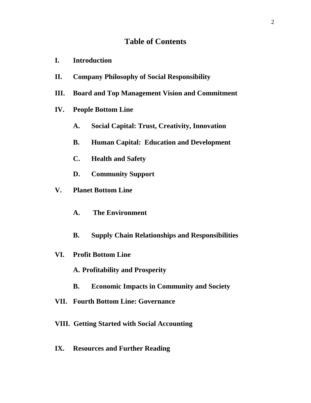## **Table of Contents**

- **I. Introduction**
- **II. Company Philosophy of Social Responsibility**
- **III. Board and Top Management Vision and Commitment**
- **IV. People Bottom Line** 
	- **A. Social Capital: Trust, Creativity, Innovation**
	- **B. Human Capital: Education and Development**
	- **C. Health and Safety**
	- **D. Community Support**
- **V. Planet Bottom Line** 
	- **A. The Environment**
	- **B. Supply Chain Relationships and Responsibilities**
- **VI. Profit Bottom Line** 
	- **A. Profitability and Prosperity**
	- **B. Economic Impacts in Community and Society**
- **VII. Fourth Bottom Line: Governance**
- **VIII. Getting Started with Social Accounting**
- **IX. Resources and Further Reading**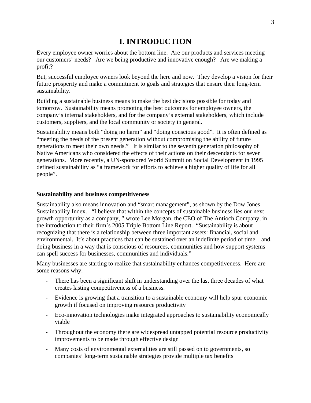## **I. INTRODUCTION**

Every employee owner worries about the bottom line. Are our products and services meeting our customers' needs? Are we being productive and innovative enough? Are we making a profit?

But, successful employee owners look beyond the here and now. They develop a vision for their future prosperity and make a commitment to goals and strategies that ensure their long-term sustainability.

Building a sustainable business means to make the best decisions possible for today and tomorrow. Sustainability means promoting the best outcomes for employee owners, the company's internal stakeholders, and for the company's external stakeholders, which include customers, suppliers, and the local community or society in general.

Sustainability means both "doing no harm" and "doing conscious good". It is often defined as "meeting the needs of the present generation without compromising the ability of future generations to meet their own needs." It is similar to the seventh generation philosophy of Native Americans who considered the effects of their actions on their descendants for seven generations. More recently, a UN-sponsored World Summit on Social Development in 1995 defined sustainability as "a framework for efforts to achieve a higher quality of life for all people".

#### **Sustainability and business competitiveness**

Sustainability also means innovation and "smart management", as shown by the Dow Jones Sustainability Index. "I believe that within the concepts of sustainable business lies our next growth opportunity as a company, " wrote Lee Morgan, the CEO of The Antioch Company, in the introduction to their firm's 2005 Triple Bottom Line Report. "Sustainability is about recognizing that there is a relationship between three important assets: financial, social and environmental. It's about practices that can be sustained over an indefinite period of time – and, doing business in a way that is conscious of resources, communities and how support systems can spell success for businesses, communities and individuals."

Many businesses are starting to realize that sustainability enhances competitiveness. Here are some reasons why:

- There has been a significant shift in understanding over the last three decades of what creates lasting competitiveness of a business.
- Evidence is growing that a transition to a sustainable economy will help spur economic growth if focused on improving resource productivity
- Eco-innovation technologies make integrated approaches to sustainability economically viable
- Throughout the economy there are widespread untapped potential resource productivity improvements to be made through effective design
- Many costs of environmental externalities are still passed on to governments, so companies' long-term sustainable strategies provide multiple tax benefits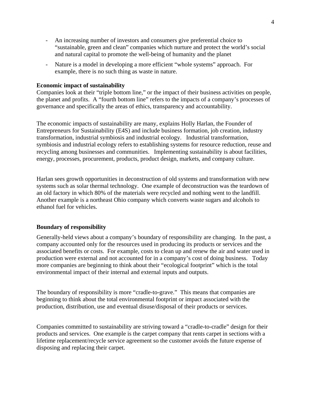- An increasing number of investors and consumers give preferential choice to "sustainable, green and clean" companies which nurture and protect the world's social and natural capital to promote the well-being of humanity and the planet
- Nature is a model in developing a more efficient "whole systems" approach. For example, there is no such thing as waste in nature.

#### **Economic impact of sustainability**

Companies look at their "triple bottom line," or the impact of their business activities on people, the planet and profits. A "fourth bottom line" refers to the impacts of a company's processes of governance and specifically the areas of ethics, transparency and accountability.

The economic impacts of sustainability are many, explains Holly Harlan, the Founder of Entrepreneurs for Sustainability (E4S) and include business formation, job creation, industry transformation, industrial symbiosis and industrial ecology. Industrial transformation, symbiosis and industrial ecology refers to establishing systems for resource reduction, reuse and recycling among businesses and communities. Implementing sustainability is about facilities, energy, processes, procurement, products, product design, markets, and company culture.

Harlan sees growth opportunities in deconstruction of old systems and transformation with new systems such as solar thermal technology. One example of deconstruction was the teardown of an old factory in which 80% of the materials were recycled and nothing went to the landfill. Another example is a northeast Ohio company which converts waste sugars and alcohols to ethanol fuel for vehicles.

#### **Boundary of responsibility**

Generally-held views about a company's boundary of responsibility are changing. In the past, a company accounted only for the resources used in producing its products or services and the associated benefits or costs. For example, costs to clean up and renew the air and water used in production were external and not accounted for in a company's cost of doing business. Today more companies are beginning to think about their "ecological footprint" which is the total environmental impact of their internal and external inputs and outputs.

The boundary of responsibility is more "cradle-to-grave." This means that companies are beginning to think about the total environmental footprint or impact associated with the production, distribution, use and eventual disuse/disposal of their products or services.

Companies committed to sustainability are striving toward a "cradle-to-cradle" design for their products and services. One example is the carpet company that rents carpet in sections with a lifetime replacement/recycle service agreement so the customer avoids the future expense of disposing and replacing their carpet.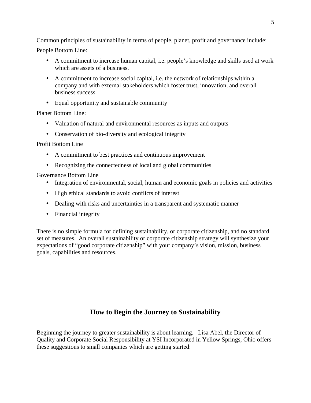Common principles of sustainability in terms of people, planet, profit and governance include: People Bottom Line:

- A commitment to increase human capital, i.e. people's knowledge and skills used at work which are assets of a business.
- A commitment to increase social capital, i.e. the network of relationships within a company and with external stakeholders which foster trust, innovation, and overall business success.
- Equal opportunity and sustainable community

Planet Bottom Line:

- Valuation of natural and environmental resources as inputs and outputs
- Conservation of bio-diversity and ecological integrity

Profit Bottom Line

- A commitment to best practices and continuous improvement
- Recognizing the connectedness of local and global communities

Governance Bottom Line

- Integration of environmental, social, human and economic goals in policies and activities
- High ethical standards to avoid conflicts of interest
- Dealing with risks and uncertainties in a transparent and systematic manner
- Financial integrity

There is no simple formula for defining sustainability, or corporate citizenship, and no standard set of measures. An overall sustainability or corporate citizenship strategy will synthesize your expectations of "good corporate citizenship" with your company's vision, mission, business goals, capabilities and resources.

## **How to Begin the Journey to Sustainability**

Beginning the journey to greater sustainability is about learning. Lisa Abel, the Director of Quality and Corporate Social Responsibility at YSI Incorporated in Yellow Springs, Ohio offers these suggestions to small companies which are getting started: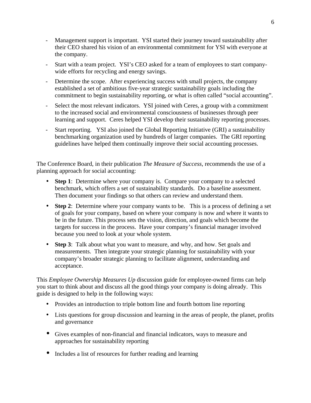- Management support is important. YSI started their journey toward sustainability after their CEO shared his vision of an environmental commitment for YSI with everyone at the company.
- Start with a team project. YSI's CEO asked for a team of employees to start companywide efforts for recycling and energy savings.
- Determine the scope. After experiencing success with small projects, the company established a set of ambitious five-year strategic sustainability goals including the commitment to begin sustainability reporting, or what is often called "social accounting".
- Select the most relevant indicators. YSI joined with Ceres, a group with a commitment to the increased social and environmental consciousness of businesses through peer learning and support. Ceres helped YSI develop their sustainability reporting processes.
- Start reporting. YSI also joined the Global Reporting Initiative (GRI) a sustainability benchmarking organization used by hundreds of larger companies. The GRI reporting guidelines have helped them continually improve their social accounting processes.

The Conference Board, in their publication *The Measure of Success*, recommends the use of a planning approach for social accounting:

- **Step 1**: Determine where your company is. Compare your company to a selected benchmark, which offers a set of sustainability standards. Do a baseline assessment. Then document your findings so that others can review and understand them.
- **Step 2**: Determine where your company wants to be. This is a process of defining a set of goals for your company, based on where your company is now and where it wants to be in the future. This process sets the vision, direction, and goals which become the targets for success in the process. Have your company's financial manager involved because you need to look at your whole system.
- **Step 3**: Talk about what you want to measure, and why, and how. Set goals and measurements. Then integrate your strategic planning for sustainability with your company's broader strategic planning to facilitate alignment, understanding and acceptance.

This *Employee Ownership Measures Up* discussion guide for employee-owned firms can help you start to think about and discuss all the good things your company is doing already. This guide is designed to help in the following ways:

- Provides an introduction to triple bottom line and fourth bottom line reporting
- Lists questions for group discussion and learning in the areas of people, the planet, profits and governance
- Gives examples of non-financial and financial indicators, ways to measure and approaches for sustainability reporting
- Includes a list of resources for further reading and learning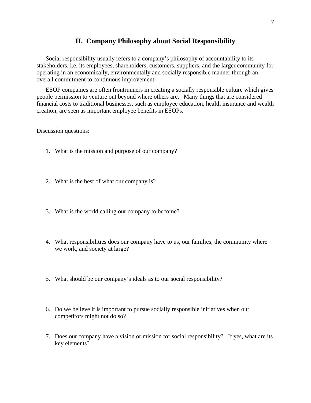#### **II. Company Philosophy about Social Responsibility**

Social responsibility usually refers to a company's philosophy of accountability to its stakeholders, i.e. its employees, shareholders, customers, suppliers, and the larger community for operating in an economically, environmentally and socially responsible manner through an overall commitment to continuous improvement.

ESOP companies are often frontrunners in creating a socially responsible culture which gives people permission to venture out beyond where others are. Many things that are considered financial costs to traditional businesses, such as employee education, health insurance and wealth creation, are seen as important employee benefits in ESOPs.

- 1. What is the mission and purpose of our company?
- 2. What is the best of what our company is?
- 3. What is the world calling our company to become?
- 4. What responsibilities does our company have to us, our families, the community where we work, and society at large?
- 5. What should be our company's ideals as to our social responsibility?
- 6. Do we believe it is important to pursue socially responsible initiatives when our competitors might not do so?
- 7. Does our company have a vision or mission for social responsibility? If yes, what are its key elements?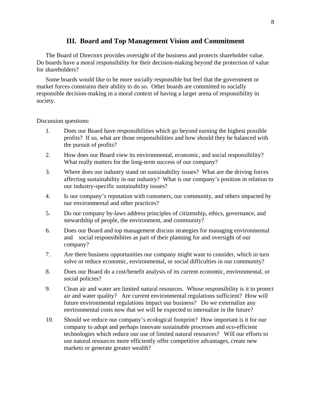#### **III. Board and Top Management Vision and Commitment**

The Board of Directors provides oversight of the business and protects shareholder value. Do boards have a moral responsibility for their decision-making beyond the protection of value for shareholders?

Some boards would like to be more socially responsible but feel that the government or market forces constrains their ability to do so. Other boards are committed to socially responsible decision-making in a moral context of having a larger arena of responsibility in society.

- 1. Does our Board have responsibilities which go beyond earning the highest possible profits? If so, what are those responsibilities and how should they be balanced with the pursuit of profits?
- 2. How does our Board view its environmental, economic, and social responsibility? What really matters for the long-term success of our company?
- 3. Where does our industry stand on sustainability issues? What are the driving forces affecting sustainability in our industry? What is our company's position in relation to our industry-specific sustainability issues?
- 4. Is our company's reputation with customers, our community, and others impacted by our environmental and other practices?
- 5. Do our company by-laws address principles of citizenship, ethics, governance, and stewardship of people, the environment, and community?
- 6. Does our Board and top management discuss strategies for managing environmental and social responsibilities as part of their planning for and oversight of our company?
- 7. Are there business opportunities our company might want to consider, which in turn solve or reduce economic, environmental, or social difficulties in our community?
- 8. Does our Board do a cost/benefit analysis of its current economic, environmental, or social policies?
- 9. Clean air and water are limited natural resources. Whose responsibility is it to protect air and water quality? Are current environmental regulations sufficient? How will future environmental regulations impact our business? Do we externalize any environmental costs now that we will be expected to internalize in the future?
- 10. Should we reduce our company's ecological footprint? How important is it for our company to adopt and perhaps innovate sustainable processes and eco-efficient technologies which reduce our use of limited natural resources? Will our efforts to use natural resources more efficiently offer competitive advantages, create new markets or generate greater wealth?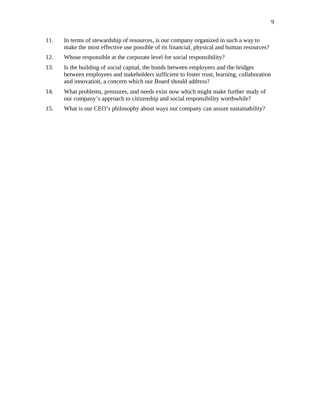- 11. In terms of stewardship of resources, is our company organized in such a way to make the most effective use possible of its financial, physical and human resources?
- 12. Whose responsible at the corporate level for social responsibility?
- 13. Is the building of social capital, the bonds between employees and the bridges between employees and stakeholders sufficient to foster trust, learning, collaboration and innovation, a concern which our Board should address?
- 14. What problems, pressures, and needs exist now which might make further study of our company's approach to citizenship and social responsibility worthwhile?
- 15. What is our CEO's philosophy about ways our company can assure sustainability?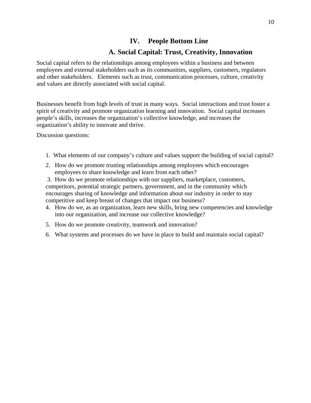## **IV. People Bottom Line**

## **A. Social Capital: Trust, Creativity, Innovation**

Social capital refers to the relationships among employees within a business and between employees and external stakeholders such as its communities, suppliers, customers, regulators and other stakeholders. Elements such as trust, communication processes, culture, creativity and values are directly associated with social capital.

Businesses benefit from high levels of trust in many ways. Social interactions and trust foster a spirit of creativity and promote organization learning and innovation. Social capital increases people's skills, increases the organization's collective knowledge, and increases the organization's ability to innovate and thrive.

- 1. What elements of our company's culture and values support the building of social capital?
- 2. How do we promote trusting relationships among employees which encourages employees to share knowledge and learn from each other?
- 3. How do we promote relationships with our suppliers, marketplace, customers, competitors, potential strategic partners, government, and in the community which encourages sharing of knowledge and information about our industry in order to stay competitive and keep breast of changes that impact our business?
- 4. How do we, as an organization, learn new skills, bring new competencies and knowledge into our organization, and increase our collective knowledge?
- 5. How do we promote creativity, teamwork and innovation?
- 6. What systems and processes do we have in place to build and maintain social capital?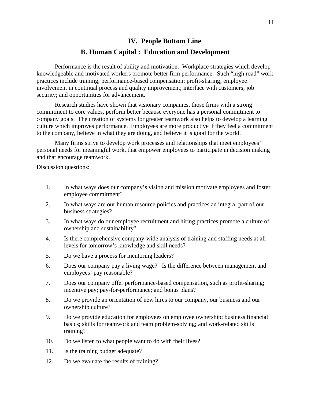## **IV.****People Bottom Line B. Human Capital : Education and Development**

Performance is the result of ability and motivation. Workplace strategies which develop knowledgeable and motivated workers promote better firm performance. Such "high road" work practices include training; performance-based compensation; profit-sharing; employee involvement in continual process and quality improvement; interface with customers; job security; and opportunities for advancement.

Research studies have shown that visionary companies, those firms with a strong commitment to core values, perform better because everyone has a personal commitment to company goals. The creation of systems for greater teamwork also helps to develop a learning culture which improves performance. Employees are more productive if they feel a commitment to the company, believe in what they are doing, and believe it is good for the world.

Many firms strive to develop work processes and relationships that meet employees' personal needs for meaningful work, that empower employees to participate in decision making and that encourage teamwork.

- 1. In what ways does our company's vision and mission motivate employees and foster employee commitment?
- 2. In what ways are our human resource policies and practices an integral part of our business strategies?
- 3. In what ways do our employee recruitment and hiring practices promote a culture of ownership and sustainability?
- 4. Is there comprehensive company-wide analysis of training and staffing needs at all levels for tomorrow's knowledge and skill needs?
- 5. Do we have a process for mentoring leaders?
- 6. Does our company pay a living wage? Is the difference between management and employees' pay reasonable?
- 7. Does our company offer performance-based compensation, such as profit-sharing; incentive pay; pay-for-performance; and bonus plans?
- 8. Do we provide an orientation of new hires to our company, our business and our ownership culture?
- 9. Do we provide education for employees on employee ownership; business financial basics; skills for teamwork and team problem-solving; and work-related skills training?
- 10. Do we listen to what people want to do with their lives?
- 11. Is the training budget adequate?
- 12. Do we evaluate the results of training?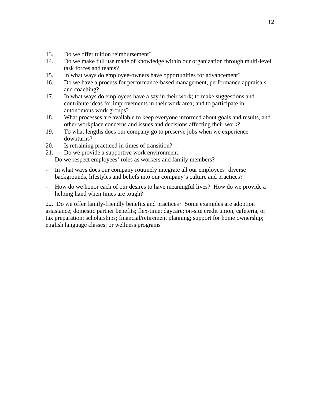- 13. Do we offer tuition reimbursement?
- 14. Do we make full use made of knowledge within our organization through multi-level task forces and teams?
- 15. In what ways do employee-owners have opportunities for advancement?
- 16. Do we have a process for performance-based management, performance appraisals and coaching?
- 17. In what ways do employees have a say in their work; to make suggestions and contribute ideas for improvements in their work area; and to participate in autonomous work groups?
- 18. What processes are available to keep everyone informed about goals and results, and other workplace concerns and issues and decisions affecting their work?
- 19. To what lengths does our company go to preserve jobs when we experience downturns?
- 20. Is retraining practiced in times of transition?
- 21. Do we provide a supportive work environment:
- Do we respect employees' roles as workers and family members?
- In what ways does our company routinely integrate all our employees' diverse backgrounds, lifestyles and beliefs into our company's culture and practices?
- How do we honor each of our desires to have meaningful lives? How do we provide a helping hand when times are tough?

22. Do we offer family-friendly benefits and practices? Some examples are adoption assistance; domestic partner benefits; flex-time; daycare; on-site credit union, cafeteria, or tax preparation; scholarships; financial/retirement planning; support for home ownership; english language classes; or wellness programs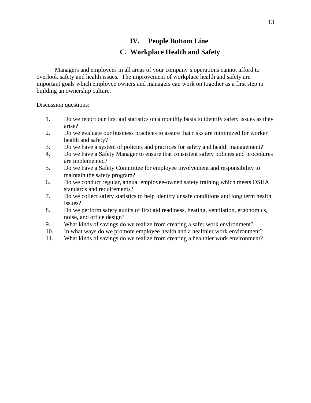## **IV. People Bottom Line C. Workplace Health and Safety**

Managers and employees in all areas of your company's operations cannot afford to overlook safety and health issues. The improvement of workplace health and safety are important goals which employee owners and managers can work on together as a first step in building an ownership culture.

- 1. Do we report our first aid statistics on a monthly basis to identify safety issues as they arise?
- 2. Do we evaluate our business practices to assure that risks are minimized for worker health and safety?
- 3. Do we have a system of policies and practices for safety and health management?
- 4. Do we have a Safety Manager to ensure that consistent safety policies and procedures are implemented?
- 5. Do we have a Safety Committee for employee involvement and responsibility to maintain the safety program?
- 6. Do we conduct regular, annual employee-owned safety training which meets OSHA standards and requirements?
- 7. Do we collect safety statistics to help identify unsafe conditions and long term health issues?
- 8. Do we perform safety audits of first aid readiness, heating, ventilation, ergonomics, noise, and office design?
- 9. What kinds of savings do we realize from creating a safer work environment?
- 10. In what ways do we promote employee health and a healthier work environment?
- 11. What kinds of savings do we realize from creating a healthier work environment?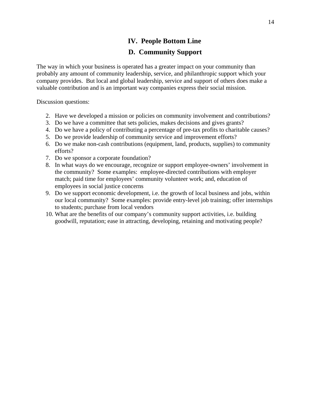## **IV. People Bottom Line**

## **D. Community Support**

The way in which your business is operated has a greater impact on your community than probably any amount of community leadership, service, and philanthropic support which your company provides. But local and global leadership, service and support of others does make a valuable contribution and is an important way companies express their social mission.

- 2. Have we developed a mission or policies on community involvement and contributions?
- 3. Do we have a committee that sets policies, makes decisions and gives grants?
- 4. Do we have a policy of contributing a percentage of pre-tax profits to charitable causes?
- 5. Do we provide leadership of community service and improvement efforts?
- 6. Do we make non-cash contributions (equipment, land, products, supplies) to community efforts?
- 7. Do we sponsor a corporate foundation?
- 8. In what ways do we encourage, recognize or support employee-owners' involvement in the community? Some examples: employee-directed contributions with employer match; paid time for employees' community volunteer work; and, education of employees in social justice concerns
- 9. Do we support economic development, i.e. the growth of local business and jobs, within our local community? Some examples: provide entry-level job training; offer internships to students; purchase from local vendors
- 10. What are the benefits of our company's community support activities, i.e. building goodwill, reputation; ease in attracting, developing, retaining and motivating people?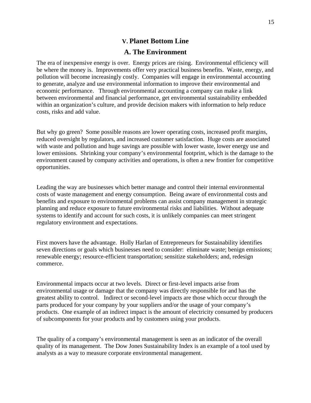#### **V. Planet Bottom Line**

#### **A. The Environment**

The era of inexpensive energy is over. Energy prices are rising. Environmental efficiency will be where the money is. Improvements offer very practical business benefits. Waste, energy, and pollution will become increasingly costly. Companies will engage in environmental accounting to generate, analyze and use environmental information to improve their environmental and economic performance. Through environmental accounting a company can make a link between environmental and financial performance, get environmental sustainability embedded within an organization's culture, and provide decision makers with information to help reduce costs, risks and add value.

But why go green? Some possible reasons are lower operating costs, increased profit margins, reduced oversight by regulators, and increased customer satisfaction. Huge costs are associated with waste and pollution and huge savings are possible with lower waste, lower energy use and lower emissions. Shrinking your company's environmental footprint, which is the damage to the environment caused by company activities and operations, is often a new frontier for competitive opportunities.

Leading the way are businesses which better manage and control their internal environmental costs of waste management and energy consumption. Being aware of environmental costs and benefits and exposure to environmental problems can assist company management in strategic planning and reduce exposure to future environmental risks and liabilities. Without adequate systems to identify and account for such costs, it is unlikely companies can meet stringent regulatory environment and expectations.

First movers have the advantage. Holly Harlan of Entrepreneurs for Sustainability identifies seven directions or goals which businesses need to consider: eliminate waste; benign emissions; renewable energy; resource-efficient transportation; sensitize stakeholders; and, redesign commerce.

Environmental impacts occur at two levels. Direct or first-level impacts arise from environmental usage or damage that the company was directly responsible for and has the greatest ability to control. Indirect or second-level impacts are those which occur through the parts produced for your company by your suppliers and/or the usage of your company's products. One example of an indirect impact is the amount of electricity consumed by producers of subcomponents for your products and by customers using your products.

The quality of a company's environmental management is seen as an indicator of the overall quality of its management. The Dow Jones Sustainability Index is an example of a tool used by analysts as a way to measure corporate environmental management.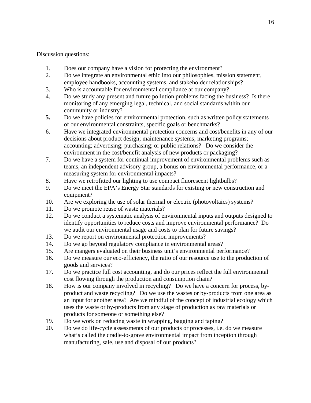- 1. Does our company have a vision for protecting the environment?
- 2. Do we integrate an environmental ethic into our philosophies, mission statement, employee handbooks, accounting systems, and stakeholder relationships?
- 3. Who is accountable for environmental compliance at our company?
- 4. Do we study any present and future pollution problems facing the business? Is there monitoring of any emerging legal, technical, and social standards within our community or industry?
- **5.** Do we have policies for environmental protection, such as written policy statements of our environmental constraints, specific goals or benchmarks?
- 6. Have we integrated environmental protection concerns and cost/benefits in any of our decisions about product design; maintenance systems; marketing programs; accounting; advertising; purchasing; or public relations? Do we consider the environment in the cost/benefit analysis of new products or packaging?
- 7. Do we have a system for continual improvement of environmental problems such as teams, an independent advisory group, a bonus on environmental performance, or a measuring system for environmental impacts?
- 8. Have we retrofitted our lighting to use compact fluorescent lightbulbs?
- 9. Do we meet the EPA's Energy Star standards for existing or new construction and equipment?
- 10. Are we exploring the use of solar thermal or electric (photovoltaics) systems?
- 11. Do we promote reuse of waste materials?
- 12. Do we conduct a systematic analysis of environmental inputs and outputs designed to identify opportunities to reduce costs and improve environmental performance? Do we audit our environmental usage and costs to plan for future savings?
- 13. Do we report on environmental protection improvements?
- 14. Do we go beyond regulatory compliance in environmental areas?
- 15. Are mangers evaluated on their business unit's environmental performance?
- 16. Do we measure our eco-efficiency, the ratio of our resource use to the production of goods and services?
- 17. Do we practice full cost accounting, and do our prices reflect the full environmental cost flowing through the production and consumption chain?
- 18. How is our company involved in recycling? Do we have a concern for process, byproduct and waste recycling? Do we use the wastes or by-products from one area as an input for another area? Are we mindful of the concept of industrial ecology which uses the waste or by-products from any stage of production as raw materials or products for someone or something else?
- 19. Do we work on reducing waste in wrapping, bagging and taping?
- 20. Do we do life-cycle assessments of our products or processes, i.e. do we measure what's called the cradle-to-grave environmental impact from inception through manufacturing, sale, use and disposal of our products?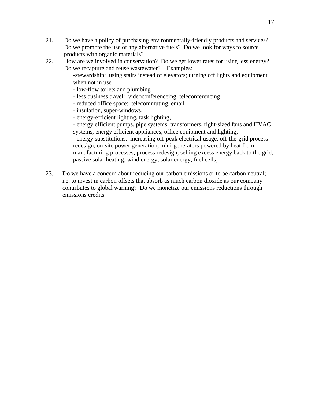- 21. Do we have a policy of purchasing environmentally-friendly products and services? Do we promote the use of any alternative fuels? Do we look for ways to source products with organic materials?
- 22. How are we involved in conservation? Do we get lower rates for using less energy? Do we recapture and reuse wastewater? Examples:

-stewardship: using stairs instead of elevators; turning off lights and equipment when not in use

- low-flow toilets and plumbing
- less business travel: videoconferenceing; teleconferencing
- reduced office space: telecommuting, email
- insulation, super-windows,
- energy-efficient lighting, task lighting,

- energy efficient pumps, pipe systems, transformers, right-sized fans and HVAC systems, energy efficient appliances, office equipment and lighting,

- energy substitutions: increasing off-peak electrical usage, off-the-grid process redesign, on-site power generation, mini-generators powered by heat from manufacturing processes; process redesign; selling excess energy back to the grid; passive solar heating; wind energy; solar energy; fuel cells;

23. Do we have a concern about reducing our carbon emissions or to be carbon neutral; i.e. to invest in carbon offsets that absorb as much carbon dioxide as our company contributes to global warning? Do we monetize our emissions reductions through emissions credits.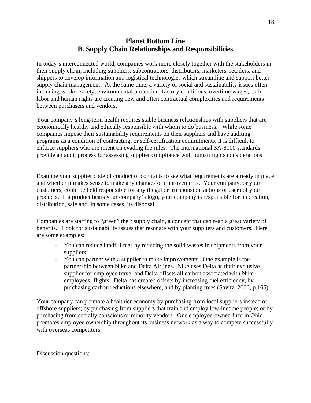## **Planet Bottom Line B. Supply Chain Relationships and Responsibilities**

In today's interconnected world, companies work more closely together with the stakeholders in their supply chain, including suppliers, subcontractors, distributors, marketers, retailers, and shippers to develop information and logistical technologies which streamline and support better supply chain management. At the same time, a variety of social and sustainability issues often including worker safety, environmental protection, factory conditions, overtime wages, child labor and human rights are creating new and often contractual complexities and requirements between purchasers and vendors.

Your company's long-term health requires stable business relationships with suppliers that are economically healthy and ethically responsible with whom to do business. While some companies impose their sustainability requirements on their suppliers and have auditing programs as a condition of contracting, or self-certification commitments, it is difficult to enforce suppliers who are intent on evading the rules. The International SA-8000 standards provide an audit process for assessing supplier compliance with human rights considerations

Examine your supplier code of conduct or contracts to see what requirements are already in place and whether it makes sense to make any changes or improvements. Your company, or your customers, could be held responsible for any illegal or irresponsible actions of users of your products. If a product bears your company's logo, your company is responsible for its creation, distribution, sale and, in some cases, its disposal.

Companies are starting to "green" their supply chain, a concept that can reap a great variety of benefits. Look for sustainability issues that resonate with your suppliers and customers. Here are some examples:

- You can reduce landfill fees by reducing the solid wastes in shipments from your suppliers
- You can partner with a supplier to make improvements. One example is the partnership between Nike and Delta Airlines. Nike uses Delta as their exclusive supplier for employee travel and Delta offsets all carbon associated with Nike employees' flights. Delta has created offsets by increasing fuel efficiency, by purchasing carbon reductions elsewhere, and by planting trees (Savitz, 2006, p.165).

Your company can promote a healthier economy by purchasing from local suppliers instead of offshore suppliers; by purchasing from suppliers that train and employ low-income people; or by purchasing from socially conscious or minority vendors. One employee-owned firm in Ohio promotes employee ownership throughout its business network as a way to compete successfully with overseas competitors.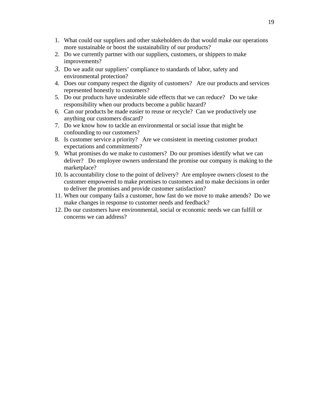- 1. What could our suppliers and other stakeholders do that would make our operations more sustainable or boost the sustainability of our products?
- 2. Do we currently partner with our suppliers, customers, or shippers to make improvements?
- *3.* Do we audit our suppliers' compliance to standards of labor, safety and environmental protection?
- 4. Does our company respect the dignity of customers? Are our products and services represented honestly to customers?
- 5. Do our products have undesirable side effects that we can reduce? Do we take responsibility when our products become a public hazard?
- 6. Can our products be made easier to reuse or recycle? Can we productively use anything our customers discard?
- 7. Do we know how to tackle an environmental or social issue that might be confounding to our customers?
- 8. Is customer service a priority? Are we consistent in meeting customer product expectations and commitments?
- 9. What promises do we make to customers? Do our promises identify what we can deliver? Do employee owners understand the promise our company is making to the marketplace?
- 10. Is accountability close to the point of delivery? Are employee owners closest to the customer empowered to make promises to customers and to make decisions in order to deliver the promises and provide customer satisfaction?
- 11. When our company fails a customer, how fast do we move to make amends? Do we make changes in response to customer needs and feedback?
- 12. Do our customers have environmental, social or economic needs we can fulfill or concerns we can address?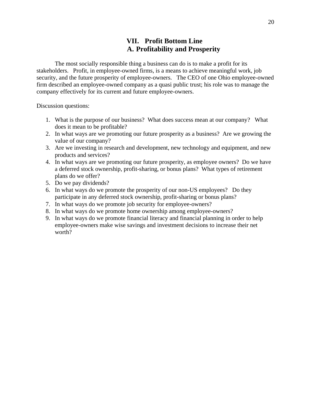## **VII. Profit Bottom Line A. Profitability and Prosperity**

The most socially responsible thing a business can do is to make a profit for its stakeholders. Profit, in employee-owned firms, is a means to achieve meaningful work, job security, and the future prosperity of employee-owners. The CEO of one Ohio employee-owned firm described an employee-owned company as a quasi public trust; his role was to manage the company effectively for its current and future employee-owners.

- 1. What is the purpose of our business? What does success mean at our company? What does it mean to be profitable?
- 2. In what ways are we promoting our future prosperity as a business? Are we growing the value of our company?
- 3. Are we investing in research and development, new technology and equipment, and new products and services?
- 4. In what ways are we promoting our future prosperity, as employee owners? Do we have a deferred stock ownership, profit-sharing, or bonus plans? What types of retirement plans do we offer?
- 5. Do we pay dividends?
- 6. In what ways do we promote the prosperity of our non-US employees? Do they participate in any deferred stock ownership, profit-sharing or bonus plans?
- 7. In what ways do we promote job security for employee-owners?
- 8. In what ways do we promote home ownership among employee-owners?
- 9. In what ways do we promote financial literacy and financial planning in order to help employee-owners make wise savings and investment decisions to increase their net worth?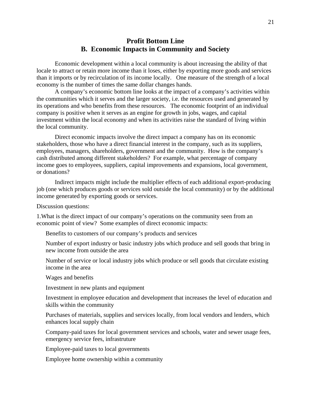## **Profit Bottom Line B. Economic Impacts in Community and Society**

Economic development within a local community is about increasing the ability of that locale to attract or retain more income than it loses, either by exporting more goods and services than it imports or by recirculation of its income locally. One measure of the strength of a local economy is the number of times the same dollar changes hands.

A company's economic bottom line looks at the impact of a company's activities within the communities which it serves and the larger society, i.e. the resources used and generated by its operations and who benefits from these resources. The economic footprint of an individual company is positive when it serves as an engine for growth in jobs, wages, and capital investment within the local economy and when its activities raise the standard of living within the local community.

Direct economic impacts involve the direct impact a company has on its economic stakeholders, those who have a direct financial interest in the company, such as its suppliers, employees, managers, shareholders, government and the community. How is the company's cash distributed among different stakeholders? For example, what percentage of company income goes to employees, suppliers, capital improvements and expansions, local government, or donations?

Indirect impacts might include the multiplier effects of each additional export-producing job (one which produces goods or services sold outside the local community) or by the additional income generated by exporting goods or services.

Discussion questions:

1.What is the direct impact of our company's operations on the community seen from an economic point of view? Some examples of direct economic impacts:

Benefits to customers of our company's products and services

Number of export industry or basic industry jobs which produce and sell goods that bring in new income from outside the area

Number of service or local industry jobs which produce or sell goods that circulate existing income in the area

Wages and benefits

Investment in new plants and equipment

Investment in employee education and development that increases the level of education and skills within the community

Purchases of materials, supplies and services locally, from local vendors and lenders, which enhances local supply chain

Company-paid taxes for local government services and schools, water and sewer usage fees, emergency service fees, infrastruture

Employee-paid taxes to local governments

Employee home ownership within a community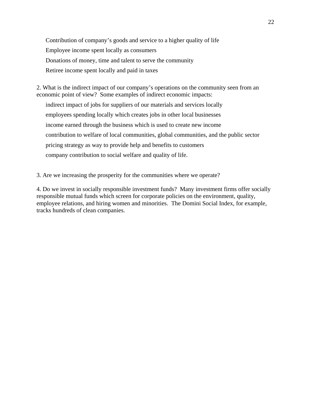Contribution of company's goods and service to a higher quality of life Employee income spent locally as consumers Donations of money, time and talent to serve the community Retiree income spent locally and paid in taxes

2. What is the indirect impact of our company's operations on the community seen from an economic point of view? Some examples of indirect economic impacts:

indirect impact of jobs for suppliers of our materials and services locally employees spending locally which creates jobs in other local businesses income earned through the business which is used to create new income contribution to welfare of local communities, global communities, and the public sector pricing strategy as way to provide help and benefits to customers company contribution to social welfare and quality of life.

3. Are we increasing the prosperity for the communities where we operate?

4. Do we invest in socially responsible investment funds? Many investment firms offer socially responsible mutual funds which screen for corporate policies on the environment, quality, employee relations, and hiring women and minorities. The Domini Social Index, for example, tracks hundreds of clean companies.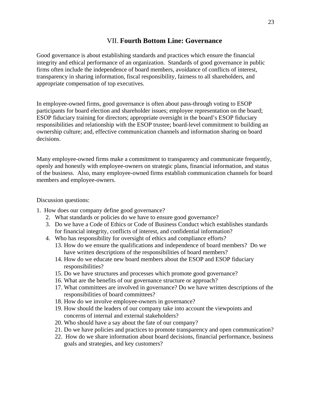#### VII. **Fourth Bottom Line: Governance**

Good governance is about establishing standards and practices which ensure the financial integrity and ethical performance of an organization. Standards of good governance in public firms often include the independence of board members, avoidance of conflicts of interest, transparency in sharing information, fiscal responsibility, fairness to all shareholders, and appropriate compensation of top executives.

In employee-owned firms, good governance is often about pass-through voting to ESOP participants for board election and shareholder issues; employee representation on the board; ESOP fiduciary training for directors; appropriate oversight in the board's ESOP fiduciary responsibilities and relationship with the ESOP trustee; board-level commitment to building an ownership culture; and, effective communication channels and information sharing on board decisions.

Many employee-owned firms make a commitment to transparency and communicate frequently, openly and honestly with employee-owners on strategic plans, financial information, and status of the business. Also, many employee-owned firms establish communication channels for board members and employee-owners.

- 1. How does our company define good governance?
	- 2. What standards or policies do we have to ensure good governance?
	- 3. Do we have a Code of Ethics or Code of Business Conduct which establishes standards for financial integrity, conflicts of interest, and confidential information?
	- 4. Who has responsibility for oversight of ethics and compliance efforts?
		- 13. How do we ensure the qualifications and independence of board members? Do we have written descriptions of the responsibilities of board members?
		- 14. How do we educate new board members about the ESOP and ESOP fiduciary responsibilities?
		- 15. Do we have structures and processes which promote good governance?
		- 16. What are the benefits of our governance structure or approach?
		- 17. What committees are involved in governance? Do we have written descriptions of the responsibilities of board committees?
		- 18. How do we involve employee-owners in governance?
		- 19. How should the leaders of our company take into account the viewpoints and concerns of internal and external stakeholders?
		- 20. Who should have a say about the fate of our company?
		- 21. Do we have policies and practices to promote transparency and open communication?
		- 22. How do we share information about board decisions, financial performance, business goals and strategies, and key customers?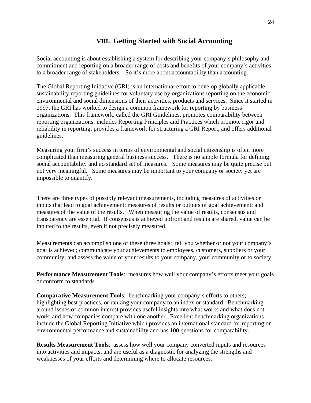## **VIII. Getting Started with Social Accounting**

Social accounting is about establishing a system for describing your company's philosophy and commitment and reporting on a broader range of costs and benefits of your company's activities to a broader range of stakeholders. So it's more about accountability than accounting.

The Global Reporting Initiative (GRI) is an international effort to develop globally applicable sustainability reporting guidelines for voluntary use by organizations reporting on the economic, environmental and social dimensions of their activities, products and services. Since it started in 1997, the GRI has worked to design a common framework for reporting by business organizations. This framework, called the GRI Guidelines, promotes comparability between reporting organizations; includes Reporting Principles and Practices which promote rigor and reliability in reporting; provides a framework for structuring a GRI Report; and offers additional guidelines.

Measuring your firm's success in terms of environmental and social citizenship is often more complicated than measuring general business success. There is no simple formula for defining social accountability and no standard set of measures. Some measures may be quite precise but not very meaningful. Some measures may be important to your company or society yet are impossible to quantify.

There are three types of possibly relevant measurements, including measures of activities or inputs that lead to goal achievement; measures of results or outputs of goal achievement; and measures of the value of the results. When measuring the value of results, consensus and transparency are essential. If consensus is achieved upfront and results are shared, value can be inputed to the results, even if not precisely measured.

Measurements can accomplish one of these three goals: tell you whether or not your company's goal is achieved; communicate your achievements to employees, customers, suppliers or your community; and assess the value of your results to your company, your community or to society

**Performance Measurement Tools**: measures how well your company's efforts meet your goals or conform to standards

**Comparative Measurement Tools**: benchmarking your company's efforts to others; highlighting best practices, or ranking your company to an index or standard. Benchmarking around issues of common interest provides useful insights into what works and what does not work, and how companies compare with one another. Excellent benchmarking organizations include the Global Reporting Initiative which provides an international standard for reporting on environmental performance and sustainability and has 100 questions for comparability.

**Results Measurement Tools**: assess how well your company converted inputs and resources into activities and impacts; and are useful as a diagnostic for analyzing the strengths and weaknesses of your efforts and determining where to allocate resources.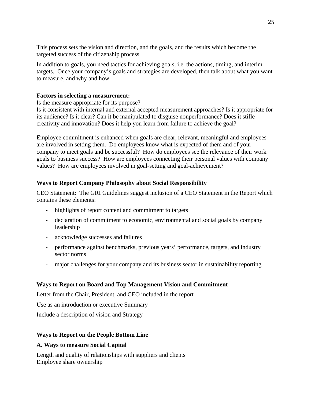This process sets the vision and direction, and the goals, and the results which become the targeted success of the citizenship process.

In addition to goals, you need tactics for achieving goals, i.e. the actions, timing, and interim targets. Once your company's goals and strategies are developed, then talk about what you want to measure, and why and how

#### **Factors in selecting a measurement:**

Is the measure appropriate for its purpose?

Is it consistent with internal and external accepted measurement approaches? Is it appropriate for its audience? Is it clear? Can it be manipulated to disguise nonperformance? Does it stifle creativity and innovation? Does it help you learn from failure to achieve the goal?

Employee commitment is enhanced when goals are clear, relevant, meaningful and employees are involved in setting them. Do employees know what is expected of them and of your company to meet goals and be successful? How do employees see the relevance of their work goals to business success? How are employees connecting their personal values with company values? How are employees involved in goal-setting and goal-achievement?

#### **Ways to Report Company Philosophy about Social Responsibility**

CEO Statement: The GRI Guidelines suggest inclusion of a CEO Statement in the Report which contains these elements:

- highlights of report content and commitment to targets
- declaration of commitment to economic, environmental and social goals by company leadership
- acknowledge successes and failures
- performance against benchmarks, previous years' performance, targets, and industry sector norms
- major challenges for your company and its business sector in sustainability reporting

#### **Ways to Report on Board and Top Management Vision and Commitment**

Letter from the Chair, President, and CEO included in the report

Use as an introduction or executive Summary

Include a description of vision and Strategy

#### **Ways to Report on the People Bottom Line**

#### **A. Ways to measure Social Capital**

Length and quality of relationships with suppliers and clients Employee share ownership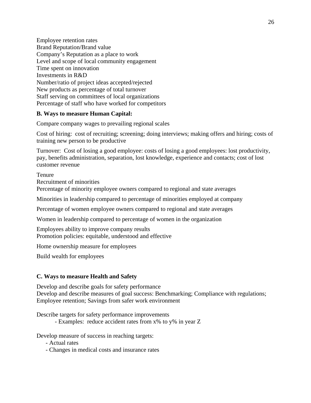Employee retention rates Brand Reputation/Brand value Company's Reputation as a place to work Level and scope of local community engagement Time spent on innovation Investments in R&D Number/ratio of project ideas accepted/rejected New products as percentage of total turnover Staff serving on committees of local organizations Percentage of staff who have worked for competitors

#### **B. Ways to measure Human Capital:**

Compare company wages to prevailing regional scales

Cost of hiring: cost of recruiting; screening; doing interviews; making offers and hiring; costs of training new person to be productive

Turnover: Cost of losing a good employee: costs of losing a good employees: lost productivity, pay, benefits administration, separation, lost knowledge, experience and contacts; cost of lost customer revenue

**Tenure** Recruitment of minorities Percentage of minority employee owners compared to regional and state averages

Minorities in leadership compared to percentage of minorities employed at company

Percentage of women employee owners compared to regional and state averages

Women in leadership compared to percentage of women in the organization

Employees ability to improve company results Promotion policies: equitable, understood and effective

Home ownership measure for employees

Build wealth for employees

#### **C. Ways to measure Health and Safety**

Develop and describe goals for safety performance Develop and describe measures of goal success: Benchmarking; Compliance with regulations; Employee retention; Savings from safer work environment

Describe targets for safety performance improvements

- Examples: reduce accident rates from x% to y% in year Z

Develop measure of success in reaching targets:

- Actual rates
- Changes in medical costs and insurance rates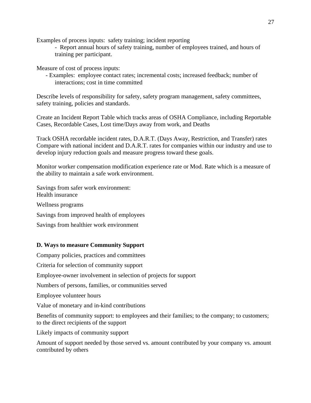Examples of process inputs: safety training; incident reporting

- Report annual hours of safety training, number of employees trained, and hours of training per participant.

Measure of cost of process inputs:

- Examples: employee contact rates; incremental costs; increased feedback; number of interactions; cost in time committed

Describe levels of responsibility for safety, safety program management, safety committees, safety training, policies and standards.

Create an Incident Report Table which tracks areas of OSHA Compliance, including Reportable Cases, Recordable Cases, Lost time/Days away from work, and Deaths

Track OSHA recordable incident rates, D.A.R.T. (Days Away, Restriction, and Transfer) rates Compare with national incident and D.A.R.T. rates for companies within our industry and use to develop injury reduction goals and measure progress toward these goals.

Monitor worker compensation modification experience rate or Mod. Rate which is a measure of the ability to maintain a safe work environment.

Savings from safer work environment: Health insurance Wellness programs Savings from improved health of employees Savings from healthier work environment

## **D. Ways to measure Community Support**

Company policies, practices and committees

Criteria for selection of community support

Employee-owner involvement in selection of projects for support

Numbers of persons, families, or communities served

Employee volunteer hours

Value of monetary and in-kind contributions

Benefits of community support: to employees and their families; to the company; to customers; to the direct recipients of the support

Likely impacts of community support

Amount of support needed by those served vs. amount contributed by your company vs. amount contributed by others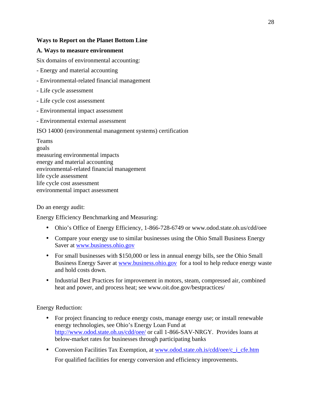#### **Ways to Report on the Planet Bottom Line**

#### **A. Ways to measure environment**

Six domains of environmental accounting:

- Energy and material accounting
- Environmental-related financial management
- Life cycle assessment
- Life cycle cost assessment
- Environmental impact assessment
- Environmental external assessment

#### ISO 14000 (environmental management systems) certification

Teams goals measuring environmental impacts energy and material accounting environmental-related financial management life cycle assessment life cycle cost assessment environmental impact assessment

#### Do an energy audit:

Energy Efficiency Benchmarking and Measuring:

- Ohio's Office of Energy Efficiency, 1-866-728-6749 or www.odod.state.oh.us/cdd/oee
- Compare your energy use to similar businesses using the Ohio Small Business Energy Saver at www.business.ohio.gov
- For small businesses with \$150,000 or less in annual energy bills, see the Ohio Small Business Energy Saver at www.business.ohio.gov for a tool to help reduce energy waste and hold costs down.
- Industrial Best Practices for improvement in motors, steam, compressed air, combined heat and power, and process heat; see www.oit.doe.gov/bestpractices/

Energy Reduction:

- For project financing to reduce energy costs, manage energy use; or install renewable energy technologies, see Ohio's Energy Loan Fund at http://www.odod.state.oh.us/cdd/oee/ or call 1-866-SAV-NRGY. Provides loans at below-market rates for businesses through participating banks
- Conversion Facilities Tax Exemption, at www.odod.state.oh.is/cdd/oee/c\_i\_cfe.htm For qualified facilities for energy conversion and efficiency improvements.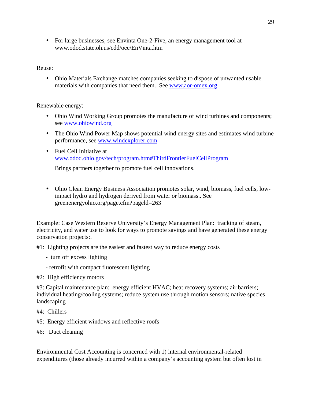• For large businesses, see Envinta One-2-Five, an energy management tool at www.odod.state.oh.us/cdd/oee/EnVinta.htm

Reuse:

• Ohio Materials Exchange matches companies seeking to dispose of unwanted usable materials with companies that need them. See www.aor-omex.org

Renewable energy:

- Ohio Wind Working Group promotes the manufacture of wind turbines and components; see www.ohiowind.org
- The Ohio Wind Power Map shows potential wind energy sites and estimates wind turbine performance, see www.windexplorer.com
- Fuel Cell Initiative at www.odod.ohio.gov/tech/program.htm#ThirdFrontierFuelCellProgram

Brings partners together to promote fuel cell innovations.

• Ohio Clean Energy Business Association promotes solar, wind, biomass, fuel cells, lowimpact hydro and hydrogen derived from water or biomass.. See greenenergyohio.org/page.cfm?pageld=263

Example: Case Western Reserve University's Energy Management Plan: tracking of steam, electricity, and water use to look for ways to promote savings and have generated these energy conservation projects:.

#1: Lighting projects are the easiest and fastest way to reduce energy costs

- turn off excess lighting
- retrofit with compact fluorescent lighting
- #2: High efficiency motors

#3: Capital maintenance plan: energy efficient HVAC; heat recovery systems; air barriers; individual heating/cooling systems; reduce system use through motion sensors; native species landscaping

- #4: Chillers
- #5: Energy efficient windows and reflective roofs
- #6: Duct cleaning

Environmental Cost Accounting is concerned with 1) internal environmental-related expenditures (those already incurred within a company's accounting system but often lost in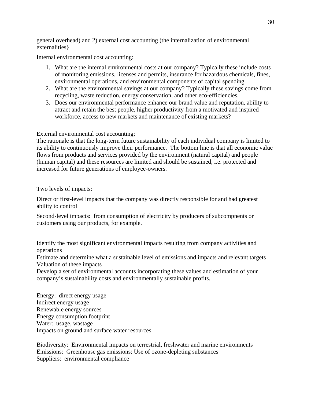general overhead) and 2) external cost accounting (the internalization of environmental externalities}

Internal environmental cost accounting:

- 1. What are the internal environmental costs at our company? Typically these include costs of monitoring emissions, licenses and permits, insurance for hazardous chemicals, fines, environmental operations, and environmental components of capital spending
- 2. What are the environmental savings at our company? Typically these savings come from recycling, waste reduction, energy conservation, and other eco-efficiencies.
- 3. Does our environmental performance enhance our brand value and reputation, ability to attract and retain the best people, higher productivity from a motivated and inspired workforce, access to new markets and maintenance of existing markets?

#### External environmental cost accounting;

The rationale is that the long-term future sustainability of each individual company is limited to its ability to continuously improve their performance. The bottom line is that all economic value flows from products and services provided by the environment (natural capital) and people (human capital) and these resources are limited and should be sustained, i.e. protected and increased for future generations of employee-owners.

#### Two levels of impacts:

Direct or first-level impacts that the company was directly responsible for and had greatest ability to control

Second-level impacts: from consumption of electricity by producers of subcompnents or customers using our products, for example.

Identify the most significant environmental impacts resulting from company activities and operations

Estimate and determine what a sustainable level of emissions and impacts and relevant targets Valuation of these impacts

Develop a set of environmental accounts incorporating these values and estimation of your company's sustainability costs and environmentally sustainable profits.

Energy: direct energy usage Indirect energy usage Renewable energy sources Energy consumption footprint Water: usage, wastage Impacts on ground and surface water resources

Biodiversity: Environmental impacts on terrestrial, freshwater and marine environments Emissions: Greenhouse gas emissions; Use of ozone-depleting substances Suppliers: environmental compliance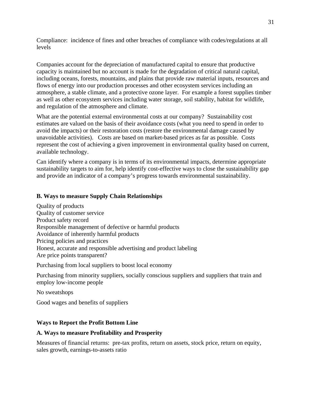Compliance: incidence of fines and other breaches of compliance with codes/regulations at all levels

Companies account for the depreciation of manufactured capital to ensure that productive capacity is maintained but no account is made for the degradation of critical natural capital, including oceans, forests, mountains, and plains that provide raw material inputs, resources and flows of energy into our production processes and other ecosystem services including an atmosphere, a stable climate, and a protective ozone layer. For example a forest supplies timber as well as other ecosystem services including water storage, soil stability, habitat for wildlife, and regulation of the atmosphere and climate.

What are the potential external environmental costs at our company? Sustainability cost estimates are valued on the basis of their avoidance costs (what you need to spend in order to avoid the impacts) or their restoration costs (restore the environmental damage caused by unavoidable activities). Costs are based on market-based prices as far as possible. Costs represent the cost of achieving a given improvement in environmental quality based on current, available technology.

Can identify where a company is in terms of its environmental impacts, determine appropriate sustainability targets to aim for, help identify cost-effective ways to close the sustainability gap and provide an indicator of a company's progress towards environmental sustainability.

#### **B. Ways to measure Supply Chain Relationships**

Quality of products Quality of customer service Product safety record Responsible management of defective or harmful products Avoidance of inherently harmful products Pricing policies and practices Honest, accurate and responsible advertising and product labeling Are price points transparent?

Purchasing from local suppliers to boost local economy

Purchasing from minority suppliers, socially conscious suppliers and suppliers that train and employ low-income people

No sweatshops

Good wages and benefits of suppliers

#### **Ways to Report the Profit Bottom Line**

#### **A. Ways to measure Profitability and Prosperity**

Measures of financial returns: pre-tax profits, return on assets, stock price, return on equity, sales growth, earnings-to-assets ratio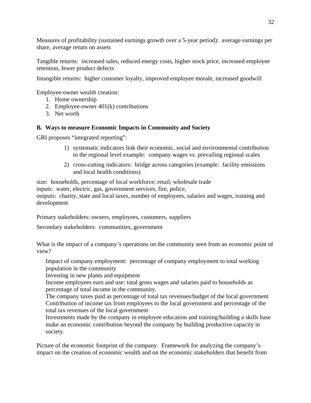Measures of profitability (sustained earnings growth over a 5-year period): average earnings per share, average return on assets

Tangible returns: increased sales, reduced energy costs, higher stock price, increased employee retention, fewer product defects

Intangible returns: higher customer loyalty, improved employee morale, increased goodwill

Employee-owner wealth creation:

- 1. Home ownership
- 2. Employee-owner 401(k) contributions
- 3. Net worth

### **B. Ways to measure Economic Impacts in Community and Society**

GRI proposes "integrated reporting":

- 1) systematic indicators link their economic, social and environmental contribution to the regional level example: company wages vs. prevailing regional scales
- 2) cross-cutting indicators: bridge across categories (example: facility emissions and local health conditions)

size: households, percentage of local workforce; retail; wholesale trade inputs: water, electric, gas, government services, fire, police, outputs: charity, state and local taxes, number of employees, salaries and wages, training and development

Primary stakeholders: owners, employees, customers, suppliers

Secondary stakeholders: communities, government

What is the impact of a company's operations on the community seen from an economic point of view?

Impact of company employment: percentage of company employment to total working population in the community

Investing in new plants and equipment

Income employees earn and use: total gross wages and salaries paid to households as percentage of total income in the community.

The company taxes paid as percentage of total tax revenues/budget of the local government Contribution of income tax from employees to the local government and percentage of the total tax revenues of the local government

Investments made by the company in employee education and training/building a skills base make an economic contribution beyond the company by building productive capacity in society.

Picture of the economic footprint of the company. Framework for analyzing the company's impact on the creation of economic wealth and on the economic stakeholders that benefit from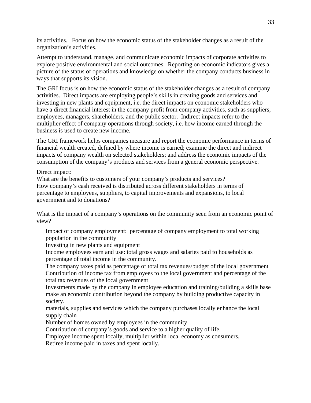its activities. Focus on how the economic status of the stakeholder changes as a result of the organization's activities.

Attempt to understand, manage, and communicate economic impacts of corporate activities to explore positive environmental and social outcomes. Reporting on economic indicators gives a picture of the status of operations and knowledge on whether the company conducts business in ways that supports its vision.

The GRI focus is on how the economic status of the stakeholder changes as a result of company activities. Direct impacts are employing people's skills in creating goods and services and investing in new plants and equipment, i.e. the direct impacts on economic stakeholders who have a direct financial interest in the company profit from company activities, such as suppliers, employees, managers, shareholders, and the public sector. Indirect impacts refer to the multiplier effect of company operations through society, i.e. how income earned through the business is used to create new income.

The GRI framework helps companies measure and report the economic performance in terms of financial wealth created, defined by where income is earned; examine the direct and indirect impacts of company wealth on selected stakeholders; and address the economic impacts of the consumption of the company's products and services from a general economic perspective.

Direct impact:

What are the benefits to customers of your company's products and services? How company's cash received is distributed across different stakeholders in terms of percentage to employees, suppliers, to capital improvements and expansions, to local government and to donations?

What is the impact of a company's operations on the community seen from an economic point of view?

Impact of company employment: percentage of company employment to total working population in the community

Investing in new plants and equipment

Income employees earn and use: total gross wages and salaries paid to households as percentage of total income in the community.

The company taxes paid as percentage of total tax revenues/budget of the local government Contribution of income tax from employees to the local government and percentage of the total tax revenues of the local government

Investments made by the company in employee education and training/building a skills base make an economic contribution beyond the company by building productive capacity in society.

materials, supplies and services which the company purchases locally enhance the local supply chain

Number of homes owned by employees in the community

Contribution of company's goods and service to a higher quality of life.

Employee income spent locally, multiplier within local economy as consumers.

Retiree income paid in taxes and spent locally.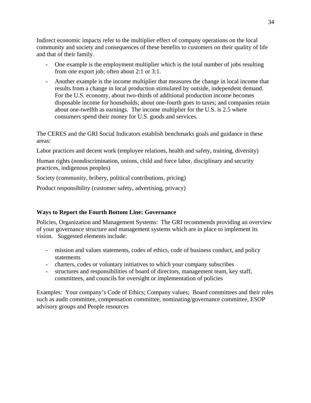Indirect economic impacts refer to the multiplier effect of company operations on the local community and society and consequences of these benefits to customers on their quality of life and that of their family.

- One example is the employment multiplier which is the total number of jobs resulting from one export job; often about 2:1 or 3:1.
- Another example is the income multiplier that measures the change in local income that results from a change in local production stimulated by outside, independent demand. For the U.S. economy, about two-thirds of additional production income becomes disposable income for households; about one-fourth goes to taxes; and companies retain about one-twelfth as earnings. The income multiplier for the U.S. is 2.5 where consumers spend their money for U.S. goods and services.

The CERES and the GRI Social Indicators establish benchmarks goals and guidance in these areas:

Labor practices and decent work (employee relations, health and safety, training, diversity)

Human rights (nondiscrimination, unions, child and force labor, disciplinary and security practices, indigenous peoples)

Society (community, bribery, political contributions, pricing)

Product responsibility (customer safety, advertising, privacy)

#### **Ways to Report the Fourth Bottom Line: Governance**

Policies, Organization and Management Systems: The GRI recommends providing an overview of your governance structure and management systems which are in place to implement its vision. Suggested elements include:

- mission and values statements, codes of ethics, code of business conduct, and policy statements
- charters, codes or voluntary initiatives to which your company subscribes
- structures and responsibilities of board of directors, management team, key staff, committees, and councils for oversight or implementation of policies

Examples: Your company's Code of Ethics; Company values; Board committees and their roles such as audit committee, compensation committee, nominating/governance committee, ESOP advisory groups and People resources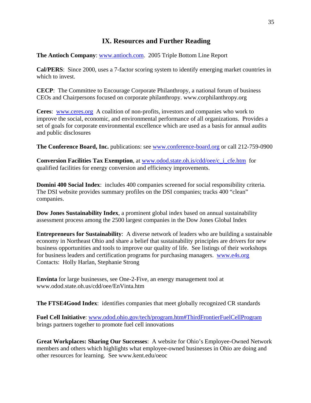## **IX. Resources and Further Reading**

**The Antioch Company**: www.antioch.com. 2005 Triple Bottom Line Report

**Cal/PERS**: Since 2000, uses a 7-factor scoring system to identify emerging market countries in which to invest.

**CECP**: The Committee to Encourage Corporate Philanthropy, a national forum of business CEOs and Chairpersons focused on corporate philanthropy. www.corphilanthropy.org

**Ceres**: www.ceres.org A coalition of non-profits, investors and companies who work to improve the social, economic, and environmental performance of all organizations. Provides a set of goals for corporate environmental excellence which are used as a basis for annual audits and public disclosures

**The Conference Board, Inc.** publications: see www.conference-board.org or call 212-759-0900

**Conversion Facilities Tax Exemption**, at www.odod.state.oh.is/cdd/oee/c\_i\_cfe.htm for qualified facilities for energy conversion and efficiency improvements.

**Domini 400 Social Index**: includes 400 companies screened for social responsibility criteria. The DSI website provides summary profiles on the DSI companies; tracks 400 "clean" companies.

**Dow Jones Sustainability Index**, a prominent global index based on annual sustainability assessment process among the 2500 largest companies in the Dow Jones Global Index

**Entrepreneurs for Sustainability**: A diverse network of leaders who are building a sustainable economy in Northeast Ohio and share a belief that sustainability principles are drivers for new business opportunities and tools to improve our quality of life. See listings of their workshops for business leaders and certification programs for purchasing managers. www.e4s.org Contacts: Holly Harlan, Stephanie Strong

**Envinta** for large businesses, see One-2-Five, an energy management tool at www.odod.state.oh.us/cdd/oee/EnVinta.htm

**The FTSE4Good Index**: identifies companies that meet globally recognized CR standards

**Fuel Cell Initiative**: www.odod.ohio.gov/tech/program.htm#ThirdFrontierFuelCellProgram brings partners together to promote fuel cell innovations

**Great Workplaces: Sharing Our Successes**: A website for Ohio's Employee-Owned Network members and others which highlights what employee-owned businesses in Ohio are doing and other resources for learning. See www.kent.edu/oeoc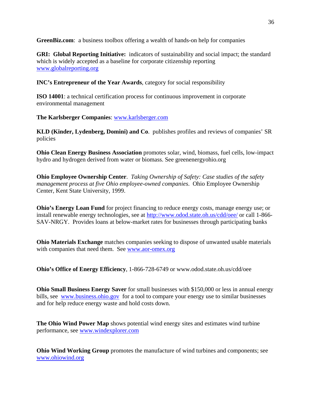**GreenBiz.com**: a business toolbox offering a wealth of hands-on help for companies

**GRI: Global Reporting Initiative:** indicators of sustainability and social impact; the standard which is widely accepted as a baseline for corporate citizenship reporting www.globalreporting.org

**INC's Entrepreneur of the Year Awards**, category for social responsibility

**ISO 14001**: a technical certification process for continuous improvement in corporate environmental management

**The Karlsberger Companies**: www.karlsberger.com

**KLD (Kinder, Lydenberg, Domini) and Co**. publishes profiles and reviews of companies' SR policies

**Ohio Clean Energy Business Association** promotes solar, wind, biomass, fuel cells, low-impact hydro and hydrogen derived from water or biomass. See greenenergyohio.org

**Ohio Employee Ownership Center**. *Taking Ownership of Safety: Case studies of the safety management process at five Ohio employee-owned companies*. Ohio Employee Ownership Center, Kent State University, 1999.

**Ohio's Energy Loan Fund** for project financing to reduce energy costs, manage energy use; or install renewable energy technologies, see at http://www.odod.state.oh.us/cdd/oee/ or call 1-866- SAV-NRGY. Provides loans at below-market rates for businesses through participating banks

**Ohio Materials Exchange** matches companies seeking to dispose of unwanted usable materials with companies that need them. See www.aor-omex.org

**Ohio's Office of Energy Efficiency**, 1-866-728-6749 or www.odod.state.oh.us/cdd/oee

**Ohio Small Business Energy Saver** for small businesses with \$150,000 or less in annual energy bills, see www.business.ohio.gov for a tool to compare your energy use to similar businesses and for help reduce energy waste and hold costs down.

**The Ohio Wind Power Map** shows potential wind energy sites and estimates wind turbine performance, see www.windexplorer.com

**Ohio Wind Working Group** promotes the manufacture of wind turbines and components; see www.ohiowind.org